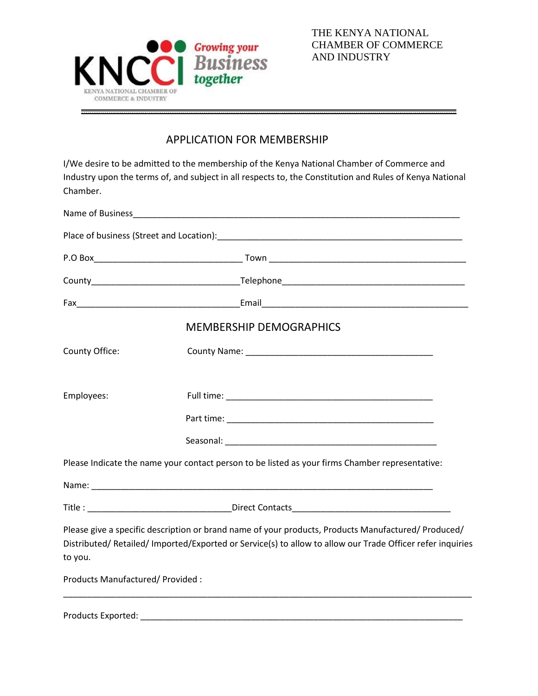

THE KENYA NATIONAL CHAMBER OF COMMERCE AND INDUSTRY

## APPLICATION FOR MEMBER[SHIP](https://myaccount.google.com/?utm_source=OGB&tab=mk)

I/We desire to be admitted to the membership of the Kenya National Chamber of Commerce and Industry upon the terms of, and subject in all respects to, the Constitution and Rules of Kenya National Chamber.

\_\_\_\_\_\_\_\_\_\_\_\_\_\_\_\_\_\_\_\_\_\_\_\_\_\_\_\_\_\_\_\_\_\_\_\_\_\_\_\_\_\_\_\_\_\_\_\_\_\_\_\_\_\_\_\_\_\_\_\_\_\_\_\_\_\_\_\_\_\_\_\_\_\_\_\_\_\_

|                                  | <b>MEMBERSHIP DEMOGRAPHICS</b>                                                                                                                                                                                  |
|----------------------------------|-----------------------------------------------------------------------------------------------------------------------------------------------------------------------------------------------------------------|
| County Office:                   |                                                                                                                                                                                                                 |
|                                  |                                                                                                                                                                                                                 |
| Employees:                       |                                                                                                                                                                                                                 |
|                                  |                                                                                                                                                                                                                 |
|                                  |                                                                                                                                                                                                                 |
|                                  | Please Indicate the name your contact person to be listed as your firms Chamber representative:                                                                                                                 |
|                                  |                                                                                                                                                                                                                 |
|                                  | Title : _______________________________Direct Contacts__________________________                                                                                                                                |
|                                  | Please give a specific description or brand name of your products, Products Manufactured/ Produced/<br>Distributed/Retailed/Imported/Exported or Service(s) to allow to allow our Trade Officer refer inquiries |
| to you.                          |                                                                                                                                                                                                                 |
| Products Manufactured/ Provided: |                                                                                                                                                                                                                 |
|                                  |                                                                                                                                                                                                                 |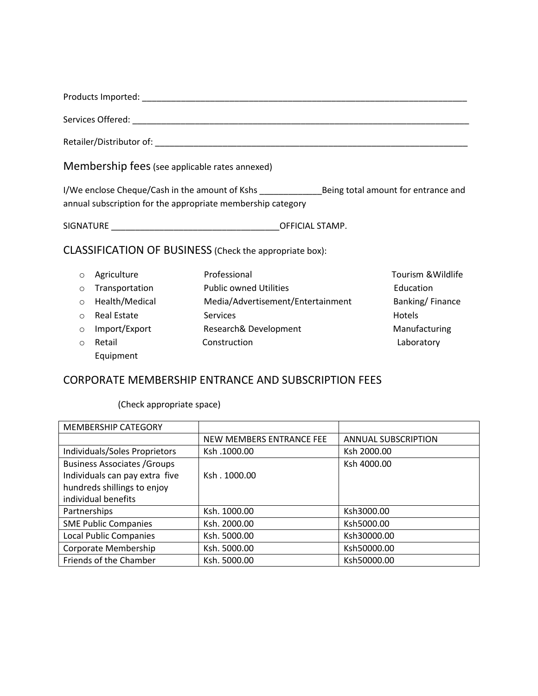| Products Imported:<br>. |  |
|-------------------------|--|
|                         |  |

Services Offered: \_\_\_\_\_\_\_\_\_\_\_\_\_\_\_\_\_\_\_\_\_\_\_\_\_\_\_\_\_\_\_\_\_\_\_\_\_\_\_\_\_\_\_\_\_\_\_\_\_\_\_\_\_\_\_\_\_\_\_\_\_\_\_\_\_\_\_\_\_\_

Retailer/Distributor of: \_\_\_\_\_\_\_\_\_\_\_\_\_\_\_\_\_\_\_\_\_\_\_\_\_\_\_\_\_\_\_\_\_\_\_\_\_\_\_\_\_\_\_\_\_\_\_\_\_\_\_\_\_\_\_\_\_\_\_\_\_\_\_\_\_

Membership fees(see applicable rates annexed)

I/We enclose Cheque/Cash in the amount of Kshs \_\_\_\_\_\_\_\_\_\_\_\_\_Being total amount for entrance and annual subscription for the appropriate membership category

SIGNATURE \_\_\_\_\_\_\_\_\_\_\_\_\_\_\_\_\_\_\_\_\_\_\_\_\_\_\_\_\_\_\_\_\_\_\_OFFICIAL STAMP.

CLASSIFICATION OF BUSINESS (Check the appropriate box):

|         | o Agriculture    | Professional                      | Tourism & Wildlife |
|---------|------------------|-----------------------------------|--------------------|
|         | o Transportation | <b>Public owned Utilities</b>     | Education          |
|         | o Health/Medical | Media/Advertisement/Entertainment | Banking/Finance    |
|         | ○ Real Estate    | <b>Services</b>                   | <b>Hotels</b>      |
| $\circ$ | Import/Export    | Research& Development             | Manufacturing      |
| $\circ$ | Retail           | Construction                      | Laboratory         |
|         | Equipment        |                                   |                    |

## CORPORATE MEMBERSHIP ENTRANCE AND SUBSCRIPTION FEES

(Check appropriate space)

| <b>MEMBERSHIP CATEGORY</b>          |                          |                            |
|-------------------------------------|--------------------------|----------------------------|
|                                     | NEW MEMBERS ENTRANCE FEE | <b>ANNUAL SUBSCRIPTION</b> |
| Individuals/Soles Proprietors       | Ksh.1000.00              | Ksh 2000.00                |
| <b>Business Associates / Groups</b> |                          | Ksh 4000.00                |
| Individuals can pay extra five      | Ksh. 1000.00             |                            |
| hundreds shillings to enjoy         |                          |                            |
| individual benefits                 |                          |                            |
| Partnerships                        | Ksh. 1000.00             | Ksh3000.00                 |
| <b>SME Public Companies</b>         | Ksh. 2000.00             | Ksh5000.00                 |
| <b>Local Public Companies</b>       | Ksh. 5000.00             | Ksh30000.00                |
| Corporate Membership                | Ksh. 5000.00             | Ksh50000.00                |
| Friends of the Chamber              | Ksh. 5000.00             | Ksh50000.00                |